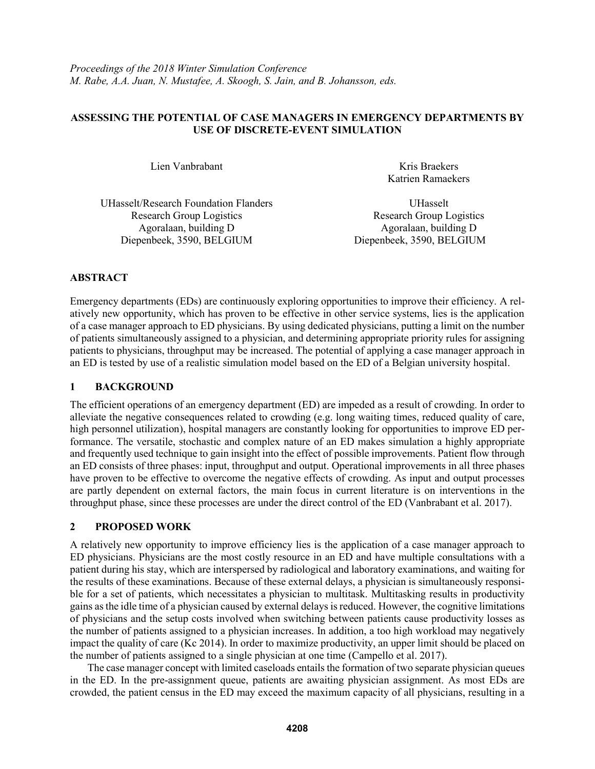#### **ASSESSING THE POTENTIAL OF CASE MANAGERS IN EMERGENCY DEPARTMENTS BY USE OF DISCRETE-EVENT SIMULATION**

Lien Vanbrabant Kris Braekers Katrien Ramaekers

UHasselt/Research Foundation Flanders Research Group Logistics Agoralaan, building D Agoralaan, building D Diepenbeek, 3590, BELGIUM Diepenbeek, 3590, BELGIUM

UHasselt Research Group Logistics

# **ABSTRACT**

Emergency departments (EDs) are continuously exploring opportunities to improve their efficiency. A relatively new opportunity, which has proven to be effective in other service systems, lies is the application of a case manager approach to ED physicians. By using dedicated physicians, putting a limit on the number of patients simultaneously assigned to a physician, and determining appropriate priority rules for assigning patients to physicians, throughput may be increased. The potential of applying a case manager approach in an ED is tested by use of a realistic simulation model based on the ED of a Belgian university hospital.

# **1 BACKGROUND**

The efficient operations of an emergency department (ED) are impeded as a result of crowding. In order to alleviate the negative consequences related to crowding (e.g. long waiting times, reduced quality of care, high personnel utilization), hospital managers are constantly looking for opportunities to improve ED performance. The versatile, stochastic and complex nature of an ED makes simulation a highly appropriate and frequently used technique to gain insight into the effect of possible improvements. Patient flow through an ED consists of three phases: input, throughput and output. Operational improvements in all three phases have proven to be effective to overcome the negative effects of crowding. As input and output processes are partly dependent on external factors, the main focus in current literature is on interventions in the throughput phase, since these processes are under the direct control of the ED (Vanbrabant et al. 2017).

# **2 PROPOSED WORK**

A relatively new opportunity to improve efficiency lies is the application of a case manager approach to ED physicians. Physicians are the most costly resource in an ED and have multiple consultations with a patient during his stay, which are interspersed by radiological and laboratory examinations, and waiting for the results of these examinations. Because of these external delays, a physician is simultaneously responsible for a set of patients, which necessitates a physician to multitask. Multitasking results in productivity gains as the idle time of a physician caused by external delays is reduced. However, the cognitive limitations of physicians and the setup costs involved when switching between patients cause productivity losses as the number of patients assigned to a physician increases. In addition, a too high workload may negatively impact the quality of care (Kc 2014). In order to maximize productivity, an upper limit should be placed on the number of patients assigned to a single physician at one time (Campello et al. 2017).

The case manager concept with limited caseloads entails the formation of two separate physician queues in the ED. In the pre-assignment queue, patients are awaiting physician assignment. As most EDs are crowded, the patient census in the ED may exceed the maximum capacity of all physicians, resulting in a